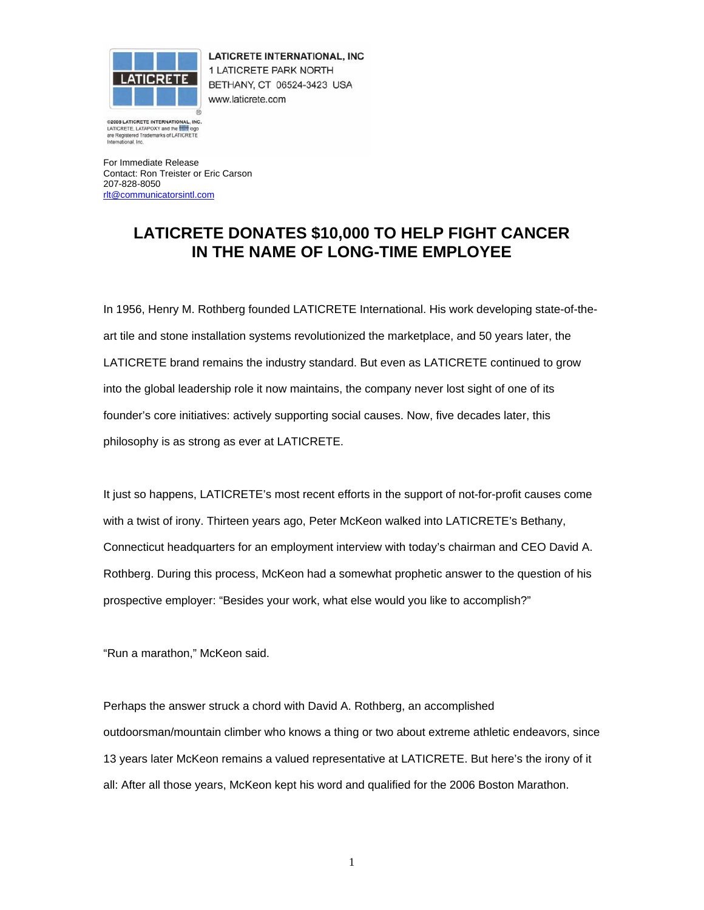

**LATICRETE INTERNATIONAL, INC** 1 LATICRETE PARK NORTH BETHANY, CT 06524-3423 USA www.laticrete.com

@2005 LATICRETE INTERNATIONAL, INCLATICRETE, LATAPOXY and the **1999** logo . INC are Registered Trademarks of LATICRETE mational. Inc

For Immediate Release Contact: Ron Treister or Eric Carson 207-828-8050 rlt@communicatorsintl.com

## **LATICRETE DONATES \$10,000 TO HELP FIGHT CANCER IN THE NAME OF LONG-TIME EMPLOYEE**

In 1956, Henry M. Rothberg founded LATICRETE International. His work developing state-of-theart tile and stone installation systems revolutionized the marketplace, and 50 years later, the LATICRETE brand remains the industry standard. But even as LATICRETE continued to grow into the global leadership role it now maintains, the company never lost sight of one of its founder's core initiatives: actively supporting social causes. Now, five decades later, this philosophy is as strong as ever at LATICRETE.

It just so happens, LATICRETE's most recent efforts in the support of not-for-profit causes come with a twist of irony. Thirteen years ago, Peter McKeon walked into LATICRETE's Bethany, Connecticut headquarters for an employment interview with today's chairman and CEO David A. Rothberg. During this process, McKeon had a somewhat prophetic answer to the question of his prospective employer: "Besides your work, what else would you like to accomplish?"

"Run a marathon," McKeon said.

Perhaps the answer struck a chord with David A. Rothberg, an accomplished outdoorsman/mountain climber who knows a thing or two about extreme athletic endeavors, since 13 years later McKeon remains a valued representative at LATICRETE. But here's the irony of it all: After all those years, McKeon kept his word and qualified for the 2006 Boston Marathon.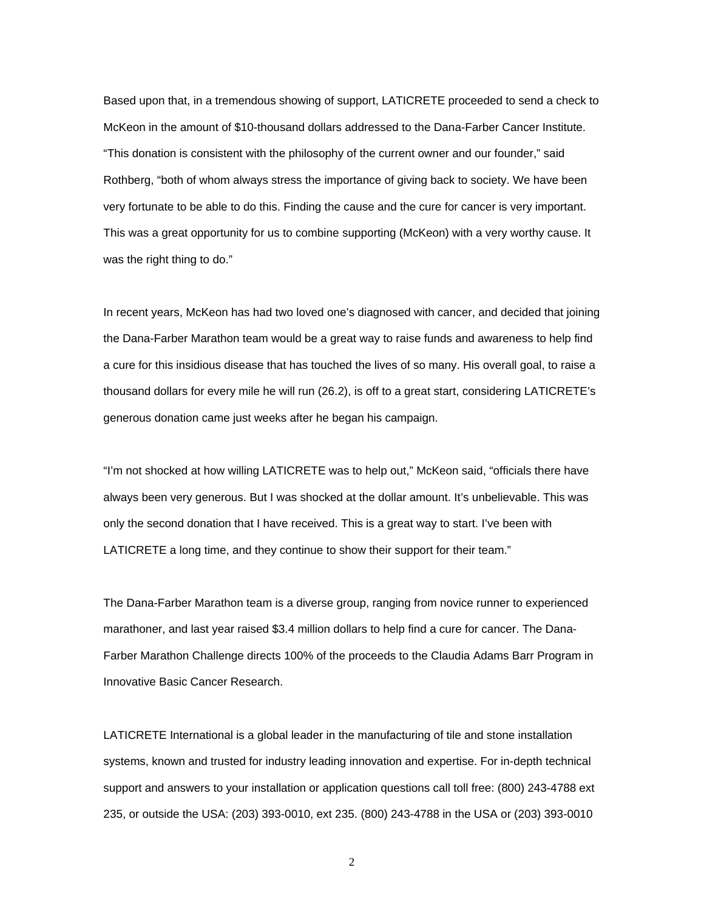Based upon that, in a tremendous showing of support, LATICRETE proceeded to send a check to McKeon in the amount of \$10-thousand dollars addressed to the Dana-Farber Cancer Institute. "This donation is consistent with the philosophy of the current owner and our founder," said Rothberg, "both of whom always stress the importance of giving back to society. We have been very fortunate to be able to do this. Finding the cause and the cure for cancer is very important. This was a great opportunity for us to combine supporting (McKeon) with a very worthy cause. It was the right thing to do."

In recent years, McKeon has had two loved one's diagnosed with cancer, and decided that joining the Dana-Farber Marathon team would be a great way to raise funds and awareness to help find a cure for this insidious disease that has touched the lives of so many. His overall goal, to raise a thousand dollars for every mile he will run (26.2), is off to a great start, considering LATICRETE's generous donation came just weeks after he began his campaign.

"I'm not shocked at how willing LATICRETE was to help out," McKeon said, "officials there have always been very generous. But I was shocked at the dollar amount. It's unbelievable. This was only the second donation that I have received. This is a great way to start. I've been with LATICRETE a long time, and they continue to show their support for their team."

The Dana-Farber Marathon team is a diverse group, ranging from novice runner to experienced marathoner, and last year raised \$3.4 million dollars to help find a cure for cancer. The Dana-Farber Marathon Challenge directs 100% of the proceeds to the Claudia Adams Barr Program in Innovative Basic Cancer Research.

LATICRETE International is a global leader in the manufacturing of tile and stone installation systems, known and trusted for industry leading innovation and expertise. For in-depth technical support and answers to your installation or application questions call toll free: (800) 243-4788 ext 235, or outside the USA: (203) 393-0010, ext 235. (800) 243-4788 in the USA or (203) 393-0010

2